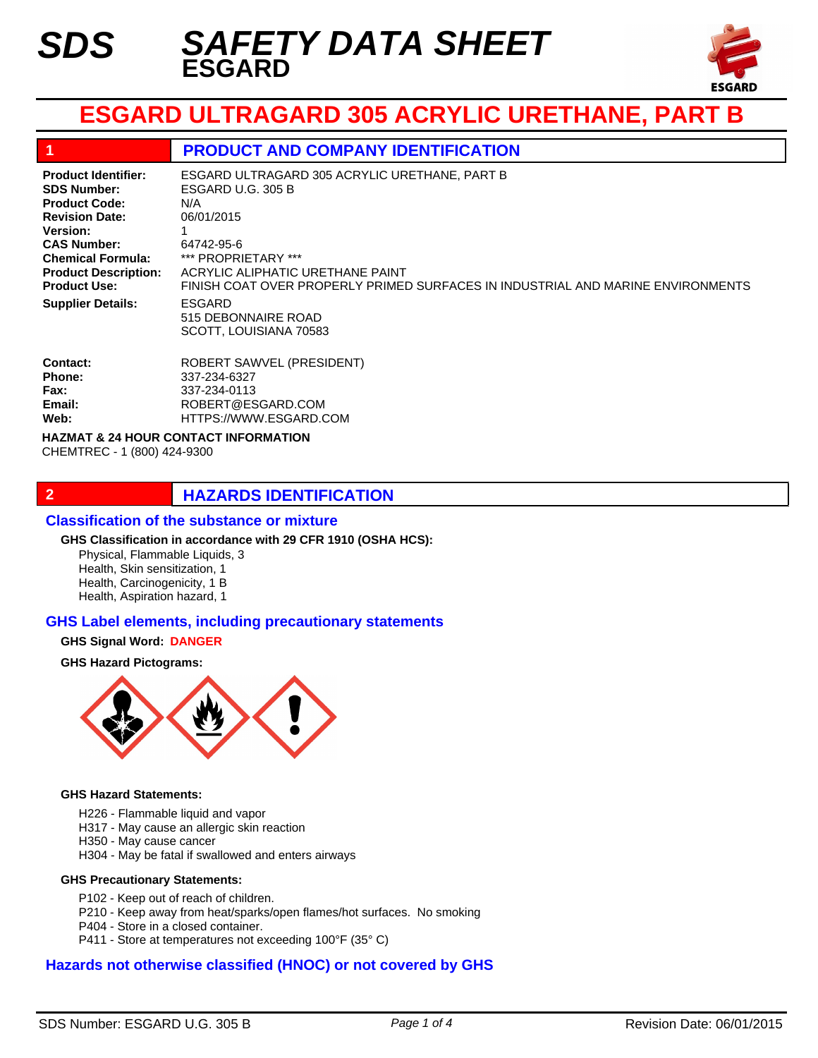

# **ESGARD ULTRAGARD 305 ACRYLIC URETHANE, PART B**

#### **1 PRODUCT AND COMPANY IDENTIFICATION**

**Product Identifier: SDS Number: Product Code: Revision Date: Version: CAS Number: Chemical Formula: Product Description: Product Use: Supplier Details:**

ESGARD 515 DEBONNAIRE ROAD SCOTT, LOUISIANA 70583 ESGARD ULTRAGARD 305 ACRYLIC URETHANE, PART B ESGARD U.G. 305 B N/A 06/01/2015 1 64742-95-6 \*\*\* PROPRIETARY \*\*\* ACRYLIC ALIPHATIC URETHANE PAINT FINISH COAT OVER PROPERLY PRIMED SURFACES IN INDUSTRIAL AND MARINE ENVIRONMENTS

| <b>ROBERT SAWVEL (PRESIDENT)</b> |
|----------------------------------|
| 337-234-6327                     |
| 337-234-0113                     |
| ROBERT@ESGARD.COM                |
| HTTPS://WWW.ESGARD.COM           |
|                                  |

**HAZMAT & 24 HOUR CONTACT INFORMATION** 

CHEMTREC - 1 (800) 424-9300

### **2 HAZARDS IDENTIFICATION**

#### **Classification of the substance or mixture**

#### **GHS Classification in accordance with 29 CFR 1910 (OSHA HCS):**

Physical, Flammable Liquids, 3 Health, Skin sensitization, 1 Health, Carcinogenicity, 1 B Health, Aspiration hazard, 1

#### **GHS Label elements, including precautionary statements**

#### **GHS Signal Word: DANGER**

#### **GHS Hazard Pictograms:**



#### **GHS Hazard Statements:**

- H226 Flammable liquid and vapor
- H317 May cause an allergic skin reaction
- H350 May cause cancer
- H304 May be fatal if swallowed and enters airways

#### **GHS Precautionary Statements:**

- P102 Keep out of reach of children.
- P210 Keep away from heat/sparks/open flames/hot surfaces. No smoking
- P404 Store in a closed container.
- P411 Store at temperatures not exceeding 100°F (35° C)

#### **Hazards not otherwise classified (HNOC) or not covered by GHS**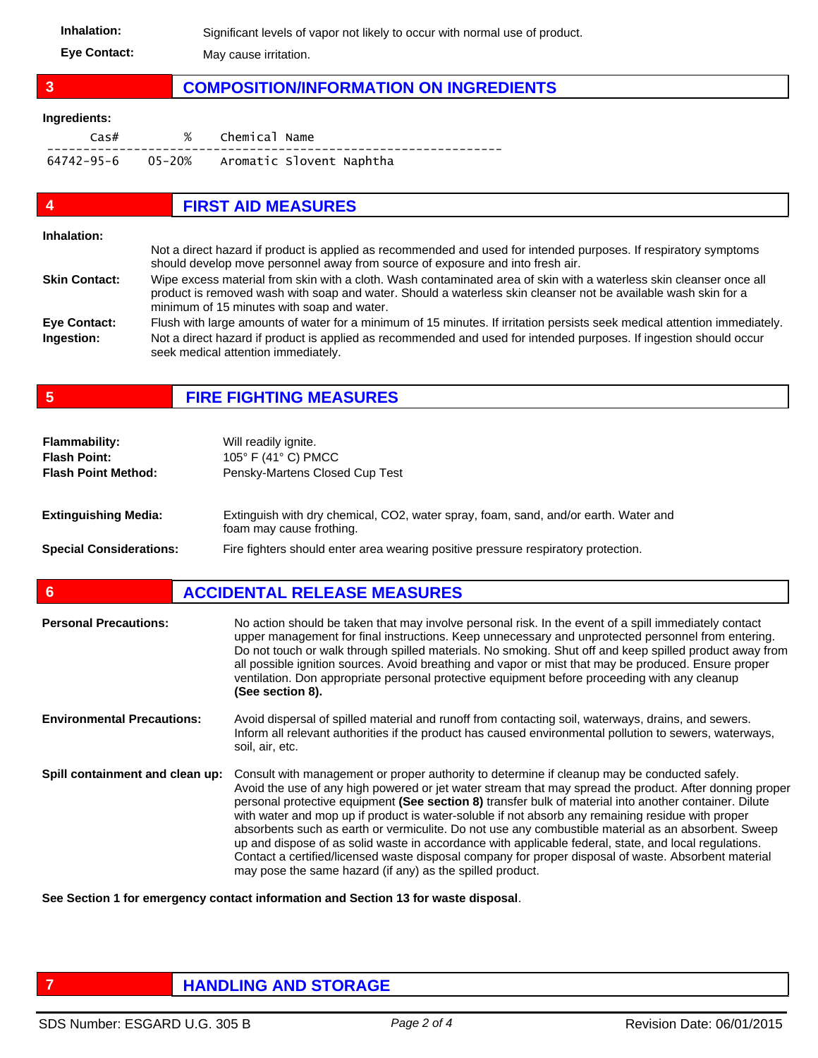Inhalation: Significant levels of vapor not likely to occur with normal use of product. **Eye Contact:** May cause irritation.

## **3 COMPOSITION/INFORMATION ON INGREDIENTS**

#### **Ingredients:**

| Cas#                                       | % Chemical Name |  |
|--------------------------------------------|-----------------|--|
| 64742-95-6 05-20% Aromatic Slovent Naphtha |                 |  |

| $\boldsymbol{4}$     | <b>FIRST AID MEASURES</b>                                                                                                                                                                                                                                                           |
|----------------------|-------------------------------------------------------------------------------------------------------------------------------------------------------------------------------------------------------------------------------------------------------------------------------------|
| Inhalation:          | Not a direct hazard if product is applied as recommended and used for intended purposes. If respiratory symptoms<br>should develop move personnel away from source of exposure and into fresh air.                                                                                  |
| <b>Skin Contact:</b> | Wipe excess material from skin with a cloth. Wash contaminated area of skin with a waterless skin cleanser once all<br>product is removed wash with soap and water. Should a waterless skin cleanser not be available wash skin for a<br>minimum of 15 minutes with soap and water. |
| Eye Contact:         | Flush with large amounts of water for a minimum of 15 minutes. If irritation persists seek medical attention immediately.                                                                                                                                                           |
| Ingestion:           | Not a direct hazard if product is applied as recommended and used for intended purposes. If ingestion should occur<br>seek medical attention immediately.                                                                                                                           |

**5 FIRE FIGHTING MEASURES**

| <b>Flammability:</b><br><b>Flash Point:</b><br><b>Flash Point Method:</b> | Will readily ignite.<br>105 $\degree$ F (41 $\degree$ C) PMCC<br>Pensky-Martens Closed Cup Test                 |
|---------------------------------------------------------------------------|-----------------------------------------------------------------------------------------------------------------|
| <b>Extinguishing Media:</b>                                               | Extinguish with dry chemical, CO2, water spray, foam, sand, and/or earth. Water and<br>foam may cause frothing. |
| <b>Special Considerations:</b>                                            | Fire fighters should enter area wearing positive pressure respiratory protection.                               |

| <b>Personal Precautions:</b>      | No action should be taken that may involve personal risk. In the event of a spill immediately contact<br>upper management for final instructions. Keep unnecessary and unprotected personnel from entering.<br>Do not touch or walk through spilled materials. No smoking. Shut off and keep spilled product away from<br>all possible ignition sources. Avoid breathing and vapor or mist that may be produced. Ensure proper<br>ventilation. Don appropriate personal protective equipment before proceeding with any cleanup<br>(See section 8).                                                                                                                                                                                                                                                         |
|-----------------------------------|-------------------------------------------------------------------------------------------------------------------------------------------------------------------------------------------------------------------------------------------------------------------------------------------------------------------------------------------------------------------------------------------------------------------------------------------------------------------------------------------------------------------------------------------------------------------------------------------------------------------------------------------------------------------------------------------------------------------------------------------------------------------------------------------------------------|
| <b>Environmental Precautions:</b> | Avoid dispersal of spilled material and runoff from contacting soil, waterways, drains, and sewers.<br>Inform all relevant authorities if the product has caused environmental pollution to sewers, waterways,<br>soil, air, etc.                                                                                                                                                                                                                                                                                                                                                                                                                                                                                                                                                                           |
| Spill containment and clean up:   | Consult with management or proper authority to determine if cleanup may be conducted safely.<br>Avoid the use of any high powered or jet water stream that may spread the product. After donning proper<br>personal protective equipment (See section 8) transfer bulk of material into another container. Dilute<br>with water and mop up if product is water-soluble if not absorb any remaining residue with proper<br>absorbents such as earth or vermiculite. Do not use any combustible material as an absorbent. Sweep<br>up and dispose of as solid waste in accordance with applicable federal, state, and local regulations.<br>Contact a certified/licensed waste disposal company for proper disposal of waste. Absorbent material<br>may pose the same hazard (if any) as the spilled product. |

**See Section 1 for emergency contact information and Section 13 for waste disposal**.

### **FIGURE 12 IN STORAGE**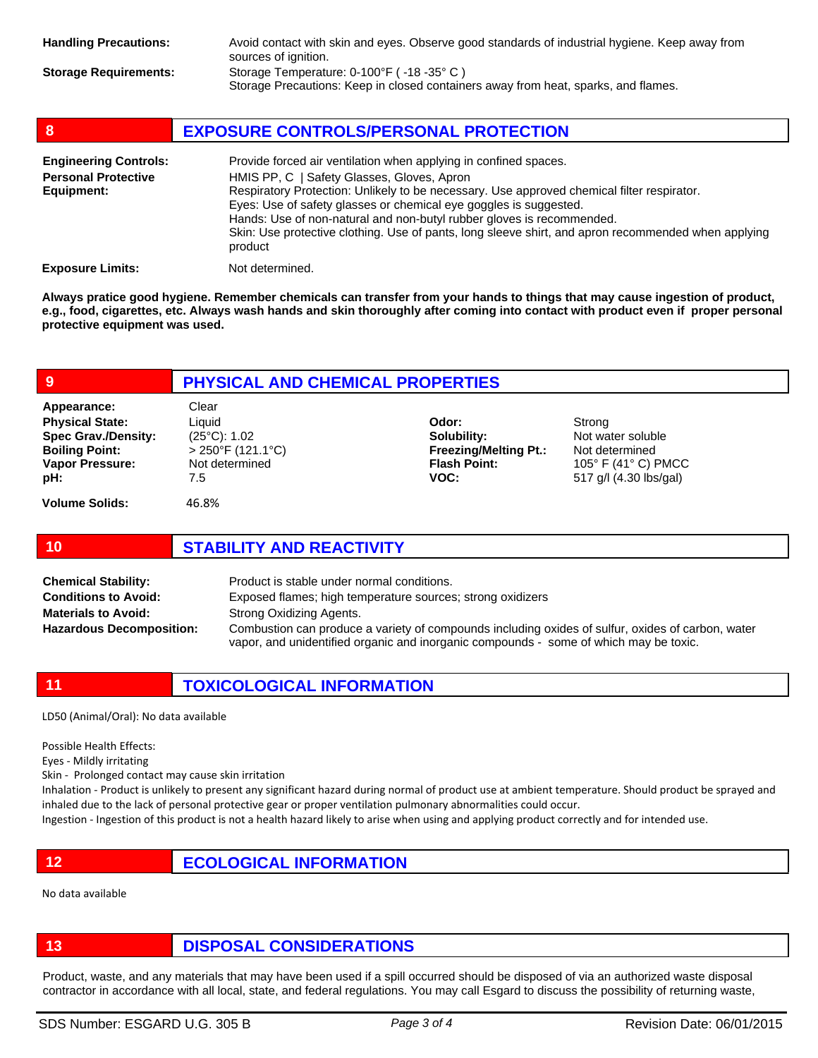| 8                                                                        | <b>EXPOSURE CONTROLS/PERSONAL PROTECTION</b>                                                                                                                                                                                                                                                                                                                                                                                                                                 |
|--------------------------------------------------------------------------|------------------------------------------------------------------------------------------------------------------------------------------------------------------------------------------------------------------------------------------------------------------------------------------------------------------------------------------------------------------------------------------------------------------------------------------------------------------------------|
| <b>Engineering Controls:</b><br><b>Personal Protective</b><br>Equipment: | Provide forced air ventilation when applying in confined spaces.<br>HMIS PP, C   Safety Glasses, Gloves, Apron<br>Respiratory Protection: Unlikely to be necessary. Use approved chemical filter respirator.<br>Eyes: Use of safety glasses or chemical eye goggles is suggested.<br>Hands: Use of non-natural and non-butyl rubber gloves is recommended.<br>Skin: Use protective clothing. Use of pants, long sleeve shirt, and apron recommended when applying<br>product |
| <b>Exposure Limits:</b>                                                  | Not determined.                                                                                                                                                                                                                                                                                                                                                                                                                                                              |

**Always pratice good hygiene. Remember chemicals can transfer from your hands to things that may cause ingestion of product, e.g., food, cigarettes, etc. Always wash hands and skin thoroughly after coming into contact with product even if proper personal protective equipment was used.** 

#### **9 PHYSICAL AND CHEMICAL PROPERTIES Volume Solids:** 46.8% Liquid (25°C): 1.02 > 250°F (121.1°C) Not determined 7.5 **Physical State: Spec Grav./Density: Boiling Point: Vapor Pressure: pH: Odor: Solubility: Freezing/Melting Pt.: Flash Point: VOC:** Strong Not water soluble Not determined 105° F (41° C) PMCC 517 g/l (4.30 lbs/gal) Appearance: Clear **10 STABILITY AND REACTIVITY**

| <b>Chemical Stability:</b>      | Product is stable under normal conditions.                                                                                                                                                 |
|---------------------------------|--------------------------------------------------------------------------------------------------------------------------------------------------------------------------------------------|
| <b>Conditions to Avoid:</b>     | Exposed flames; high temperature sources; strong oxidizers                                                                                                                                 |
| <b>Materials to Avoid:</b>      | Strong Oxidizing Agents.                                                                                                                                                                   |
| <b>Hazardous Decomposition:</b> | Combustion can produce a variety of compounds including oxides of sulfur, oxides of carbon, water<br>vapor, and unidentified organic and inorganic compounds - some of which may be toxic. |

**11 TOXICOLOGICAL INFORMATION**

LD50 (Animal/Oral): No data available

Possible Health Effects:

Eyes - Mildly irritating

Skin - Prolonged contact may cause skin irritation

Inhalation - Product is unlikely to present any significant hazard during normal of product use at ambient temperature. Should product be sprayed and inhaled due to the lack of personal protective gear or proper ventilation pulmonary abnormalities could occur.

Ingestion - Ingestion of this product is not a health hazard likely to arise when using and applying product correctly and for intended use.

**12 ECOLOGICAL INFORMATION** 

No data available

**13 DISPOSAL CONSIDERATIONS**

Product, waste, and any materials that may have been used if a spill occurred should be disposed of via an authorized waste disposal contractor in accordance with all local, state, and federal regulations. You may call Esgard to discuss the possibility of returning waste,